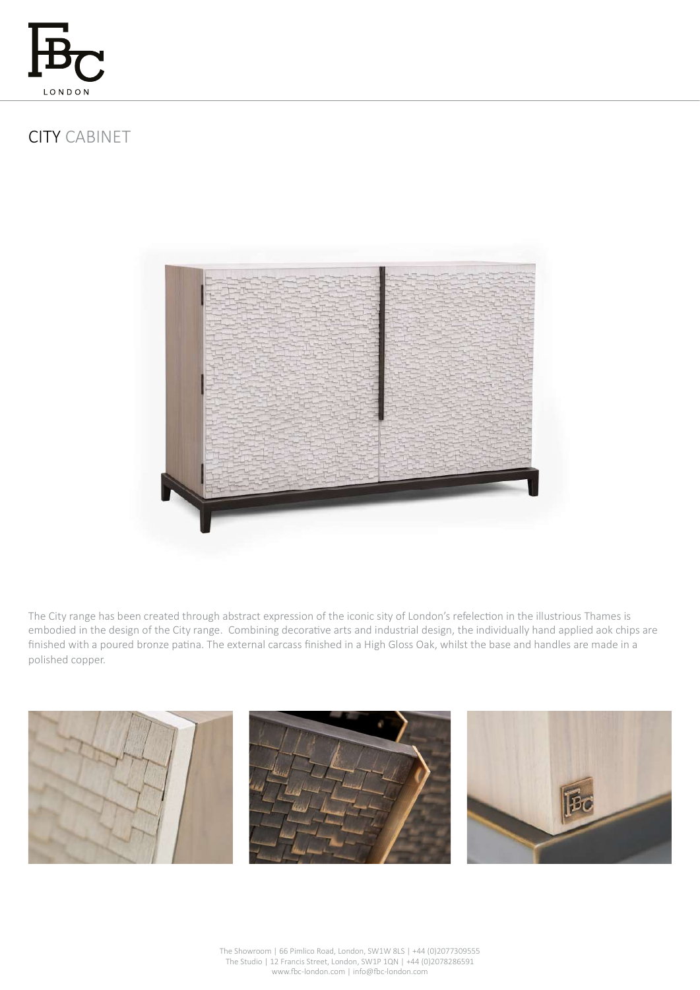

# CITY CABINET



The City range has been created through abstract expression of the iconic sity of London's refelection in the illustrious Thames is embodied in the design of the City range. Combining decorative arts and industrial design, the individually hand applied aok chips are finished with a poured bronze patina. The external carcass finished in a High Gloss Oak, whilst the base and handles are made in a polished copper.